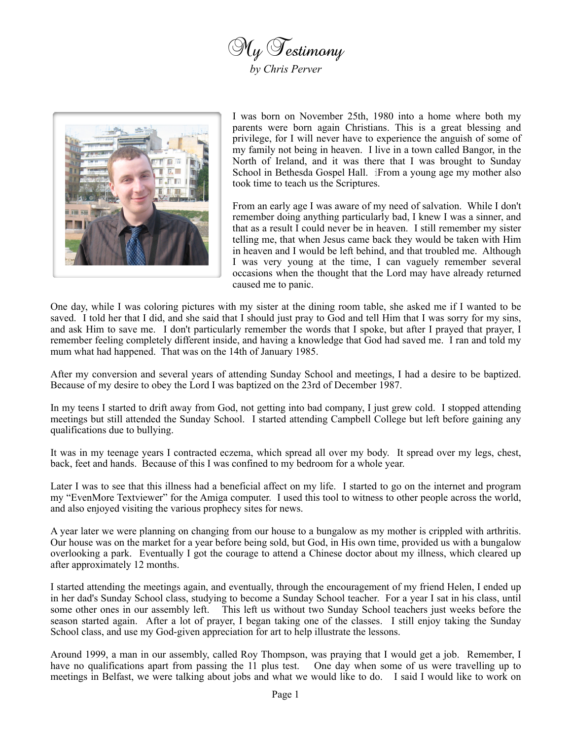



I was born on November 25th, 1980 into a home where both my parents were born again Christians. This is a great blessing and privilege, for I will never have to experience the anguish of some of my family not being in heaven. I live in a town called Bangor, in the North of Ireland, and it was there that I was brought to Sunday School in Bethesda Gospel Hall. iFrom a young age my mother also took time to teach us the Scriptures.

From an early age I was aware of my need of salvation. While I don't remember doing anything particularly bad, I knew I was a sinner, and that as a result I could never be in heaven. I still remember my sister telling me, that when Jesus came back they would be taken with Him in heaven and I would be left behind, and that troubled me. Although I was very young at the time, I can vaguely remember several occasions when the thought that the Lord may have already returned caused me to panic.

One day, while I was coloring pictures with my sister at the dining room table, she asked me if I wanted to be saved. I told her that I did, and she said that I should just pray to God and tell Him that I was sorry for my sins, and ask Him to save me. I don't particularly remember the words that I spoke, but after I prayed that prayer, I remember feeling completely different inside, and having a knowledge that God had saved me. I ran and told my mum what had happened. That was on the 14th of January 1985.

After my conversion and several years of attending Sunday School and meetings, I had a desire to be baptized. Because of my desire to obey the Lord I was baptized on the 23rd of December 1987.

In my teens I started to drift away from God, not getting into bad company, I just grew cold. I stopped attending meetings but still attended the Sunday School. I started attending Campbell College but left before gaining any qualifications due to bullying.

It was in my teenage years I contracted eczema, which spread all over my body. It spread over my legs, chest, back, feet and hands. Because of this I was confined to my bedroom for a whole year.

Later I was to see that this illness had a beneficial affect on my life. I started to go on the internet and program my "EvenMore Textviewer" for the Amiga computer. I used this tool to witness to other people across the world, and also enjoyed visiting the various prophecy sites for news.

A year later we were planning on changing from our house to a bungalow as my mother is crippled with arthritis. Our house was on the market for a year before being sold, but God, in His own time, provided us with a bungalow overlooking a park. Eventually I got the courage to attend a Chinese doctor about my illness, which cleared up after approximately 12 months.

I started attending the meetings again, and eventually, through the encouragement of my friend Helen, I ended up in her dad's Sunday School class, studying to become a Sunday School teacher. For a year I sat in his class, until some other ones in our assembly left. This left us without two Sunday School teachers just weeks before the season started again. After a lot of prayer, I began taking one of the classes. I still enjoy taking the Sunday School class, and use my God-given appreciation for art to help illustrate the lessons.

Around 1999, a man in our assembly, called Roy Thompson, was praying that I would get a job. Remember, I have no qualifications apart from passing the 11 plus test. One day when some of us were travelling up to meetings in Belfast, we were talking about jobs and what we would like to do. I said I would like to work on